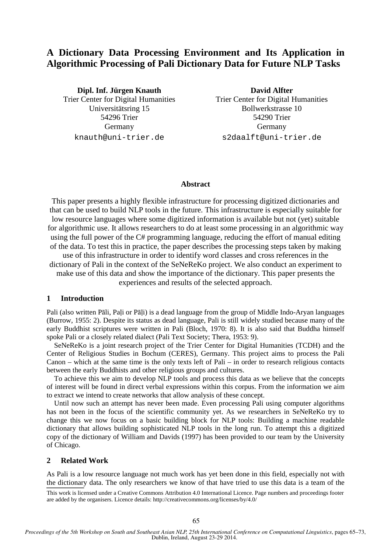# **A Dictionary Data Processing Environment and Its Application in Algorithmic Processing of Pali Dictionary Data for Future NLP Tasks**

**Dipl. Inf. Jürgen Knauth**  Trier Center for Digital Humanities Universitätsring 15 54296 Trier Germany knauth@uni-trier.de

**David Alfter**  Trier Center for Digital Humanities Bollwerkstrasse 10 54290 Trier Germany s2daalft@uni-trier.de

#### **Abstract**

This paper presents a highly flexible infrastructure for processing digitized dictionaries and that can be used to build NLP tools in the future. This infrastructure is especially suitable for low resource languages where some digitized information is available but not (yet) suitable for algorithmic use. It allows researchers to do at least some processing in an algorithmic way using the full power of the C# programming language, reducing the effort of manual editing of the data. To test this in practice, the paper describes the processing steps taken by making use of this infrastructure in order to identify word classes and cross references in the dictionary of Pali in the context of the SeNeReKo project. We also conduct an experiment to make use of this data and show the importance of the dictionary. This paper presents the

experiences and results of the selected approach.

## **1 Introduction**

Pali (also written Pāli, Paḷi or Pāḷi) is a dead language from the group of Middle Indo-Aryan languages (Burrow, 1955: 2). Despite its status as dead language, Pali is still widely studied because many of the early Buddhist scriptures were written in Pali (Bloch, 1970: 8). It is also said that Buddha himself spoke Pali or a closely related dialect (Pali Text Society; Thera, 1953: 9).

SeNeReKo is a joint research project of the Trier Center for Digital Humanities (TCDH) and the Center of Religious Studies in Bochum (CERES), Germany. This project aims to process the Pali Canon – which at the same time is the only texts left of Pali – in order to research religious contacts between the early Buddhists and other religious groups and cultures.

To achieve this we aim to develop NLP tools and process this data as we believe that the concepts of interest will be found in direct verbal expressions within this corpus. From the information we aim to extract we intend to create networks that allow analysis of these concept.

Until now such an attempt has never been made. Even processing Pali using computer algorithms has not been in the focus of the scientific community yet. As we researchers in SeNeReKo try to change this we now focus on a basic building block for NLP tools: Building a machine readable dictionary that allows building sophisticated NLP tools in the long run. To attempt this a digitized copy of the dictionary of William and Davids (1997) has been provided to our team by the University of Chicago.

# **2 Related Work**

As Pali is a low resource language not much work has yet been done in this field, especially not with the dictionary data. The only researchers we know of that have tried to use this data is a team of the

This work is licensed under a Creative Commons Attribution 4.0 International Licence. Page numbers and proceedings footer are added by the organisers. Licence details: http://creativecommons.org/licenses/by/4.0/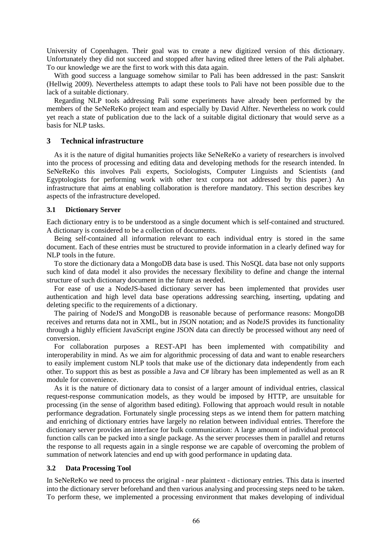University of Copenhagen. Their goal was to create a new digitized version of this dictionary. Unfortunately they did not succeed and stopped after having edited three letters of the Pali alphabet. To our knowledge we are the first to work with this data again.

With good success a language somehow similar to Pali has been addressed in the past: Sanskrit (Hellwig 2009). Nevertheless attempts to adapt these tools to Pali have not been possible due to the lack of a suitable dictionary.

Regarding NLP tools addressing Pali some experiments have already been performed by the members of the SeNeReKo project team and especially by David Alfter. Nevertheless no work could yet reach a state of publication due to the lack of a suitable digital dictionary that would serve as a basis for NLP tasks.

# **3 Technical infrastructure**

As it is the nature of digital humanities projects like SeNeReKo a variety of researchers is involved into the process of processing and editing data and developing methods for the research intended. In SeNeReKo this involves Pali experts, Sociologists, Computer Linguists and Scientists (and Egyptologists for performing work with other text corpora not addressed by this paper.) An infrastructure that aims at enabling collaboration is therefore mandatory. This section describes key aspects of the infrastructure developed.

## **3.1 Dictionary Server**

Each dictionary entry is to be understood as a single document which is self-contained and structured. A dictionary is considered to be a collection of documents.

Being self-contained all information relevant to each individual entry is stored in the same document. Each of these entries must be structured to provide information in a clearly defined way for NLP tools in the future.

To store the dictionary data a MongoDB data base is used. This NoSQL data base not only supports such kind of data model it also provides the necessary flexibility to define and change the internal structure of such dictionary document in the future as needed.

For ease of use a NodeJS-based dictionary server has been implemented that provides user authentication and high level data base operations addressing searching, inserting, updating and deleting specific to the requirements of a dictionary.

The pairing of NodeJS and MongoDB is reasonable because of performance reasons: MongoDB receives and returns data not in XML, but in JSON notation; and as NodeJS provides its functionality through a highly efficient JavaScript engine JSON data can directly be processed without any need of conversion.

For collaboration purposes a REST-API has been implemented with compatibility and interoperability in mind. As we aim for algorithmic processing of data and want to enable researchers to easily implement custom NLP tools that make use of the dictionary data independently from each other. To support this as best as possible a Java and C# library has been implemented as well as an R module for convenience.

As it is the nature of dictionary data to consist of a larger amount of individual entries, classical request-response communication models, as they would be imposed by HTTP, are unsuitable for processing (in the sense of algorithm based editing). Following that approach would result in notable performance degradation. Fortunately single processing steps as we intend them for pattern matching and enriching of dictionary entries have largely no relation between individual entries. Therefore the dictionary server provides an interface for bulk communication: A large amount of individual protocol function calls can be packed into a single package. As the server processes them in parallel and returns the response to all requests again in a single response we are capable of overcoming the problem of summation of network latencies and end up with good performance in updating data.

#### **3.2 Data Processing Tool**

In SeNeReKo we need to process the original - near plaintext - dictionary entries. This data is inserted into the dictionary server beforehand and then various analysing and processing steps need to be taken. To perform these, we implemented a processing environment that makes developing of individual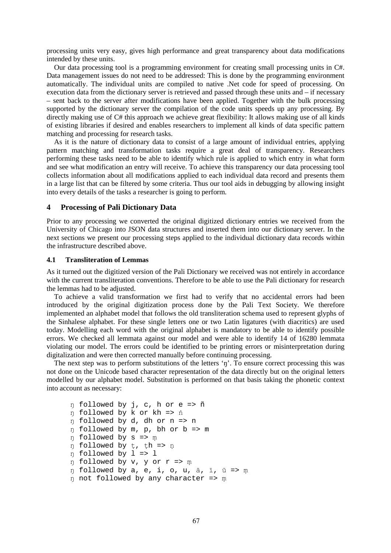processing units very easy, gives high performance and great transparency about data modifications intended by these units.

Our data processing tool is a programming environment for creating small processing units in C#. Data management issues do not need to be addressed: This is done by the programming environment automatically. The individual units are compiled to native .Net code for speed of processing. On execution data from the dictionary server is retrieved and passed through these units and – if necessary – sent back to the server after modifications have been applied. Together with the bulk processing supported by the dictionary server the compilation of the code units speeds up any processing. By directly making use of C# this approach we achieve great flexibility: It allows making use of all kinds of existing libraries if desired and enables researchers to implement all kinds of data specific pattern matching and processing for research tasks.

As it is the nature of dictionary data to consist of a large amount of individual entries, applying pattern matching and transformation tasks require a great deal of transparency. Researchers performing these tasks need to be able to identify which rule is applied to which entry in what form and see what modification an entry will receive. To achieve this transparency our data processing tool collects information about all modifications applied to each individual data record and presents them in a large list that can be filtered by some criteria. Thus our tool aids in debugging by allowing insight into every details of the tasks a researcher is going to perform.

## **4 Processing of Pali Dictionary Data**

Prior to any processing we converted the original digitized dictionary entries we received from the University of Chicago into JSON data structures and inserted them into our dictionary server. In the next sections we present our processing steps applied to the individual dictionary data records within the infrastructure described above.

#### **4.1 Transliteration of Lemmas**

As it turned out the digitized version of the Pali Dictionary we received was not entirely in accordance with the current transliteration conventions. Therefore to be able to use the Pali dictionary for research the lemmas had to be adjusted.

To achieve a valid transformation we first had to verify that no accidental errors had been introduced by the original digitization process done by the Pali Text Society. We therefore implemented an alphabet model that follows the old transliteration schema used to represent glyphs of the Sinhalese alphabet. For these single letters one or two Latin ligatures (with diacritics) are used today. Modelling each word with the original alphabet is mandatory to be able to identify possible errors. We checked all lemmata against our model and were able to identify 14 of 16280 lemmata violating our model. The errors could be identified to be printing errors or misinterpretation during digitalization and were then corrected manually before continuing processing.

The next step was to perform substitutions of the letters 'n'. To ensure correct processing this was not done on the Unicode based character representation of the data directly but on the original letters modelled by our alphabet model. Substitution is performed on that basis taking the phonetic context into account as necessary:

```
ŋ followed by j, c, h or e => ñ 
ŋ followed by k or kh => ṅ
ŋ followed by d, dh or n => n 
ŋ followed by m, p, bh or b => m 
ŋ followed by s => ṃ
ŋ followed by ṭ, ṭh => ṇ
ŋ followed by l => l 
ŋ followed by v, y or r => ṃ
ŋ followed by a, e, i, o, u, ā, ī, ū => ṃ
ŋ not followed by any character => ṃ
```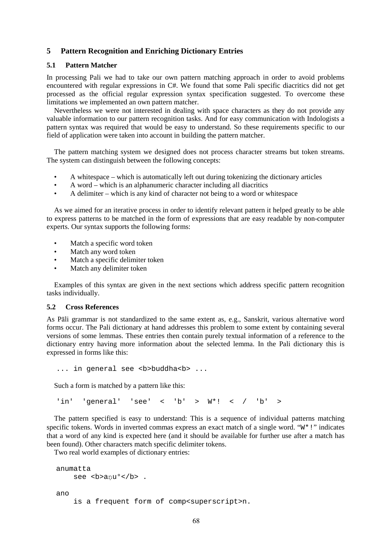# **5 Pattern Recognition and Enriching Dictionary Entries**

#### **5.1 Pattern Matcher**

In processing Pali we had to take our own pattern matching approach in order to avoid problems encountered with regular expressions in C#. We found that some Pali specific diacritics did not get processed as the official regular expression syntax specification suggested. To overcome these limitations we implemented an own pattern matcher.

Nevertheless we were not interested in dealing with space characters as they do not provide any valuable information to our pattern recognition tasks. And for easy communication with Indologists a pattern syntax was required that would be easy to understand. So these requirements specific to our field of application were taken into account in building the pattern matcher.

The pattern matching system we designed does not process character streams but token streams. The system can distinguish between the following concepts:

- A whitespace which is automatically left out during tokenizing the dictionary articles
- A word which is an alphanumeric character including all diacritics
- A delimiter which is any kind of character not being to a word or whitespace

As we aimed for an iterative process in order to identify relevant pattern it helped greatly to be able to express patterns to be matched in the form of expressions that are easy readable by non-computer experts. Our syntax supports the following forms:

- Match a specific word token
- Match any word token
- Match a specific delimiter token
- Match any delimiter token

Examples of this syntax are given in the next sections which address specific pattern recognition tasks individually.

#### **5.2 Cross References**

As Pāli grammar is not standardized to the same extent as, e.g., Sanskrit, various alternative word forms occur. The Pali dictionary at hand addresses this problem to some extent by containing several versions of some lemmas. These entries then contain purely textual information of a reference to the dictionary entry having more information about the selected lemma. In the Pali dictionary this is expressed in forms like this:

... in general see <b>buddha<b> ...

Such a form is matched by a pattern like this:

'in' 'general' 'see' < 'b' >  $W^*$ ! < / 'b' >

The pattern specified is easy to understand: This is a sequence of individual patterns matching specific tokens. Words in inverted commas express an exact match of a single word. "W<sup>\*</sup>!" indicates that a word of any kind is expected here (and it should be available for further use after a match has been found). Other characters match specific delimiter tokens.

Two real world examples of dictionary entries:

```
anumatta 
    see <b>anu<sup>o</sup> </b> .
ano 
     is a frequent form of comp<superscript>n.
```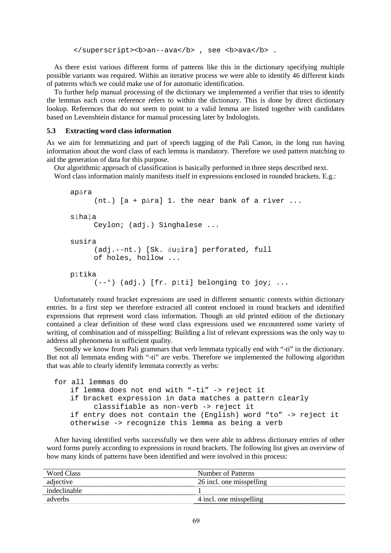</superscript><b>an--ava</b>, see <b>ava</b>.

As there exist various different forms of patterns like this in the dictionary specifying multiple possible variants was required. Within an iterative process we were able to identify 46 different kinds of patterns which we could make use of for automatic identification.

To further help manual processing of the dictionary we implemented a verifier that tries to identify the lemmas each cross reference refers to within the dictionary. This is done by direct dictionary lookup. References that do not seem to point to a valid lemma are listed together with candidates based on Levenshtein distance for manual processing later by Indologists.

#### **5.3 Extracting word class information**

As we aim for lemmatizing and part of speech tagging of the Pali Canon, in the long run having information about the word class of each lemma is mandatory. Therefore we used pattern matching to aid the generation of data for this purpose.

Our algorithmic approach of classification is basically performed in three steps described next. Word class information mainly manifests itself in expressions enclosed in rounded brackets. E.g.:

```
 apāra 
       (nt.) [a + pāra] 1. the near bank of a river ... 
 sīhaḷa 
       Ceylon; (adj.) Singhalese ... 
 susira 
       (adj.--nt.) [Sk. śuṣira] perforated, full 
       of holes, hollow ... 
 pītika 
       (--°) (adj.) [fr. pīti] belonging to joy; ...
```
Unfortunately round bracket expressions are used in different semantic contexts within dictionary entries. In a first step we therefore extracted all content enclosed in round brackets and identified expressions that represent word class information. Though an old printed edition of the dictionary contained a clear definition of these word class expressions used we encountered some variety of writing, of combination and of misspelling: Building a list of relevant expressions was the only way to address all phenomena in sufficient quality.

Secondly we know from Pali grammars that verb lemmata typically end with "-ti" in the dictionary. But not all lemmata ending with "-ti" are verbs. Therefore we implemented the following algorithm that was able to clearly identify lemmata correctly as verbs:

```
for all lemmas do 
     if lemma does not end with "-ti" -> reject it 
     if bracket expression in data matches a pattern clearly 
          classifiable as non-verb -> reject it 
     if entry does not contain the (English) word "to" -> reject it 
     otherwise -> recognize this lemma as being a verb
```
After having identified verbs successfully we then were able to address dictionary entries of other word forms purely according to expressions in round brackets. The following list gives an overview of how many kinds of patterns have been identified and were involved in this process:

| Word Class   | Number of Patterns       |
|--------------|--------------------------|
| adjective    | 26 incl. one misspelling |
| indeclinable |                          |
| adverbs      | 4 incl. one misspelling  |
|              |                          |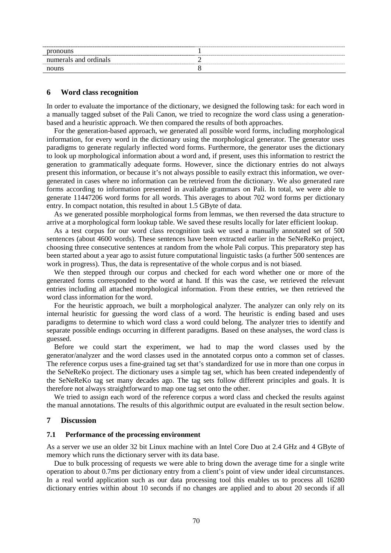| pronouns              |   |
|-----------------------|---|
| numerals and ordinals | - |
| nouns                 |   |

#### **6 Word class recognition**

In order to evaluate the importance of the dictionary, we designed the following task: for each word in a manually tagged subset of the Pali Canon, we tried to recognize the word class using a generationbased and a heuristic approach. We then compared the results of both approaches.

For the generation-based approach, we generated all possible word forms, including morphological information, for every word in the dictionary using the morphological generator. The generator uses paradigms to generate regularly inflected word forms. Furthermore, the generator uses the dictionary to look up morphological information about a word and, if present, uses this information to restrict the generation to grammatically adequate forms. However, since the dictionary entries do not always present this information, or because it's not always possible to easily extract this information, we overgenerated in cases where no information can be retrieved from the dictionary. We also generated rare forms according to information presented in available grammars on Pali. In total, we were able to generate 11447206 word forms for all words. This averages to about 702 word forms per dictionary entry. In compact notation, this resulted in about 1.5 GByte of data.

As we generated possible morphological forms from lemmas, we then reversed the data structure to arrive at a morphological form lookup table. We saved these results locally for later efficient lookup.

As a test corpus for our word class recognition task we used a manually annotated set of 500 sentences (about 4600 words). These sentences have been extracted earlier in the SeNeReKo project, choosing three consecutive sentences at random from the whole Pali corpus. This preparatory step has been started about a year ago to assist future computational linguistic tasks (a further 500 sentences are work in progress). Thus, the data is representative of the whole corpus and is not biased.

We then stepped through our corpus and checked for each word whether one or more of the generated forms corresponded to the word at hand. If this was the case, we retrieved the relevant entries including all attached morphological information. From these entries, we then retrieved the word class information for the word.

For the heuristic approach, we built a morphological analyzer. The analyzer can only rely on its internal heuristic for guessing the word class of a word. The heuristic is ending based and uses paradigms to determine to which word class a word could belong. The analyzer tries to identify and separate possible endings occurring in different paradigms. Based on these analyses, the word class is guessed.

Before we could start the experiment, we had to map the word classes used by the generator/analyzer and the word classes used in the annotated corpus onto a common set of classes. The reference corpus uses a fine-grained tag set that's standardized for use in more than one corpus in the SeNeReKo project. The dictionary uses a simple tag set, which has been created independently of the SeNeReKo tag set many decades ago. The tag sets follow different principles and goals. It is therefore not always straightforward to map one tag set onto the other.

We tried to assign each word of the reference corpus a word class and checked the results against the manual annotations. The results of this algorithmic output are evaluated in the result section below.

## **7 Discussion**

# **7.1 Performance of the processing environment**

As a server we use an older 32 bit Linux machine with an Intel Core Duo at 2.4 GHz and 4 GByte of memory which runs the dictionary server with its data base.

Due to bulk processing of requests we were able to bring down the average time for a single write operation to about 0.7ms per dictionary entry from a client's point of view under ideal circumstances. In a real world application such as our data processing tool this enables us to process all 16280 dictionary entries within about 10 seconds if no changes are applied and to about 20 seconds if all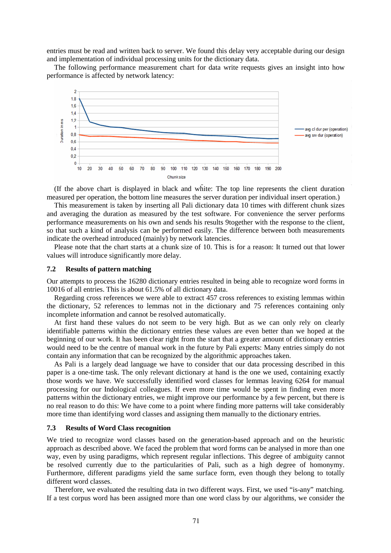entries must be read and written back to server. We found this delay very acceptable during our design and implementation of individual processing units for the dictionary data.

The following performance measurement chart for data write requests gives an insight into how performance is affected by network latency:



(If the above chart is displayed in black and white: The top line represents the client duration measured per operation, the bottom line measures the server duration per individual insert operation.)

This measurement is taken by inserting all Pali dictionary data 10 times with different chunk sizes and averaging the duration as measured by the test software. For convenience the server performs performance measurements on his own and sends his results 9together with the response to the client, so that such a kind of analysis can be performed easily. The difference between both measurements indicate the overhead introduced (mainly) by network latencies.

Please note that the chart starts at a chunk size of 10. This is for a reason: It turned out that lower values will introduce significantly more delay.

## **7.2 Results of pattern matching**

Our attempts to process the 16280 dictionary entries resulted in being able to recognize word forms in 10016 of all entries. This is about 61.5% of all dictionary data.

Regarding cross references we were able to extract 457 cross references to existing lemmas within the dictionary, 52 references to lemmas not in the dictionary and 75 references containing only incomplete information and cannot be resolved automatically.

At first hand these values do not seem to be very high. But as we can only rely on clearly identifiable patterns within the dictionary entries these values are even better than we hoped at the beginning of our work. It has been clear right from the start that a greater amount of dictionary entries would need to be the centre of manual work in the future by Pali experts: Many entries simply do not contain any information that can be recognized by the algorithmic approaches taken.

As Pali is a largely dead language we have to consider that our data processing described in this paper is a one-time task. The only relevant dictionary at hand is the one we used, containing exactly those words we have. We successfully identified word classes for lemmas leaving 6264 for manual processing for our Indological colleagues. If even more time would be spent in finding even more patterns within the dictionary entries, we might improve our performance by a few percent, but there is no real reason to do this: We have come to a point where finding more patterns will take considerably more time than identifying word classes and assigning them manually to the dictionary entries.

# **7.3 Results of Word Class recognition**

We tried to recognize word classes based on the generation-based approach and on the heuristic approach as described above. We faced the problem that word forms can be analysed in more than one way, even by using paradigms, which represent regular inflections. This degree of ambiguity cannot be resolved currently due to the particularities of Pali, such as a high degree of homonymy. Furthermore, different paradigms yield the same surface form, even though they belong to totally different word classes.

Therefore, we evaluated the resulting data in two different ways. First, we used "is-any" matching. If a test corpus word has been assigned more than one word class by our algorithms, we consider the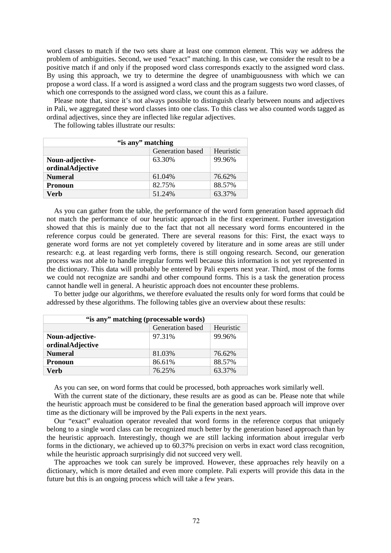word classes to match if the two sets share at least one common element. This way we address the problem of ambiguities. Second, we used "exact" matching. In this case, we consider the result to be a positive match if and only if the proposed word class corresponds exactly to the assigned word class. By using this approach, we try to determine the degree of unambiguousness with which we can propose a word class. If a word is assigned a word class and the program suggests two word classes, of which one corresponds to the assigned word class, we count this as a failure.

Please note that, since it's not always possible to distinguish clearly between nouns and adjectives in Pali, we aggregated these word classes into one class. To this class we also counted words tagged as ordinal adjectives, since they are inflected like regular adjectives.

The following tables illustrate our results:

| "is any" matching |                  |           |  |  |
|-------------------|------------------|-----------|--|--|
|                   | Generation based | Heuristic |  |  |
| Noun-adjective-   | 63.30%           | 99.96%    |  |  |
| ordinalAdjective  |                  |           |  |  |
| <b>Numeral</b>    | 61.04%           | 76.62%    |  |  |
| <b>Pronoun</b>    | 82.75%           | 88.57%    |  |  |
| Verb              | 51.24%           | 63.37%    |  |  |

As you can gather from the table, the performance of the word form generation based approach did not match the performance of our heuristic approach in the first experiment. Further investigation showed that this is mainly due to the fact that not all necessary word forms encountered in the reference corpus could be generated. There are several reasons for this: First, the exact ways to generate word forms are not yet completely covered by literature and in some areas are still under research: e.g. at least regarding verb forms, there is still ongoing research. Second, our generation process was not able to handle irregular forms well because this information is not yet represented in the dictionary. This data will probably be entered by Pali experts next year. Third, most of the forms we could not recognize are sandhi and other compound forms. This is a task the generation process cannot handle well in general. A heuristic approach does not encounter these problems.

To better judge our algorithms, we therefore evaluated the results only for word forms that could be addressed by these algorithms. The following tables give an overview about these results:

| "is any" matching (processable words) |                  |           |  |
|---------------------------------------|------------------|-----------|--|
|                                       | Generation based | Heuristic |  |
| Noun-adjective-                       | 97.31%           | 99.96%    |  |
| ordinalAdjective                      |                  |           |  |
| <b>Numeral</b>                        | 81.03%           | 76.62%    |  |
| <b>Pronoun</b>                        | 86.61%           | 88.57%    |  |
| Verb                                  | 76.25%           | 63.37%    |  |

As you can see, on word forms that could be processed, both approaches work similarly well.

With the current state of the dictionary, these results are as good as can be. Please note that while the heuristic approach must be considered to be final the generation based approach will improve over time as the dictionary will be improved by the Pali experts in the next years.

Our "exact" evaluation operator revealed that word forms in the reference corpus that uniquely belong to a single word class can be recognized much better by the generation based approach than by the heuristic approach. Interestingly, though we are still lacking information about irregular verb forms in the dictionary, we achieved up to 60.37% precision on verbs in exact word class recognition, while the heuristic approach surprisingly did not succeed very well.

The approaches we took can surely be improved. However, these approaches rely heavily on a dictionary, which is more detailed and even more complete. Pali experts will provide this data in the future but this is an ongoing process which will take a few years.